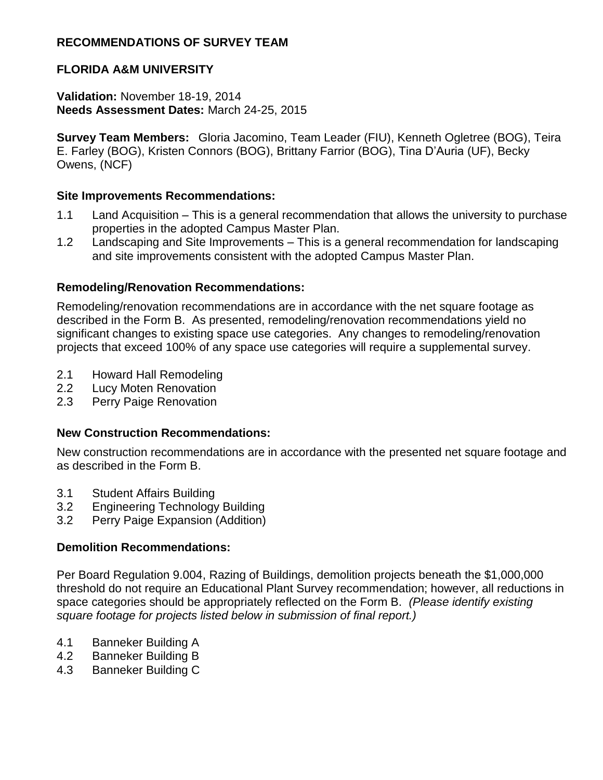## **RECOMMENDATIONS OF SURVEY TEAM**

# **FLORIDA A&M UNIVERSITY**

#### **Validation:** November 18-19, 2014 **Needs Assessment Dates:** March 24-25, 2015

**Survey Team Members:** Gloria Jacomino, Team Leader (FIU), Kenneth Ogletree (BOG), Teira E. Farley (BOG), Kristen Connors (BOG), Brittany Farrior (BOG), Tina D'Auria (UF), Becky Owens, (NCF)

#### **Site Improvements Recommendations:**

- 1.1 Land Acquisition This is a general recommendation that allows the university to purchase properties in the adopted Campus Master Plan.
- 1.2 Landscaping and Site Improvements This is a general recommendation for landscaping and site improvements consistent with the adopted Campus Master Plan.

#### **Remodeling/Renovation Recommendations:**

Remodeling/renovation recommendations are in accordance with the net square footage as described in the Form B. As presented, remodeling/renovation recommendations yield no significant changes to existing space use categories. Any changes to remodeling/renovation projects that exceed 100% of any space use categories will require a supplemental survey.

- 2.1 Howard Hall Remodeling
- 2.2 Lucy Moten Renovation
- 2.3 Perry Paige Renovation

## **New Construction Recommendations:**

New construction recommendations are in accordance with the presented net square footage and as described in the Form B.

- 3.1 Student Affairs Building
- 3.2 Engineering Technology Building
- 3.2 Perry Paige Expansion (Addition)

## **Demolition Recommendations:**

Per Board Regulation 9.004, Razing of Buildings, demolition projects beneath the \$1,000,000 threshold do not require an Educational Plant Survey recommendation; however, all reductions in space categories should be appropriately reflected on the Form B. *(Please identify existing square footage for projects listed below in submission of final report.)*

- 4.1 Banneker Building A
- 4.2 Banneker Building B
- 4.3 Banneker Building C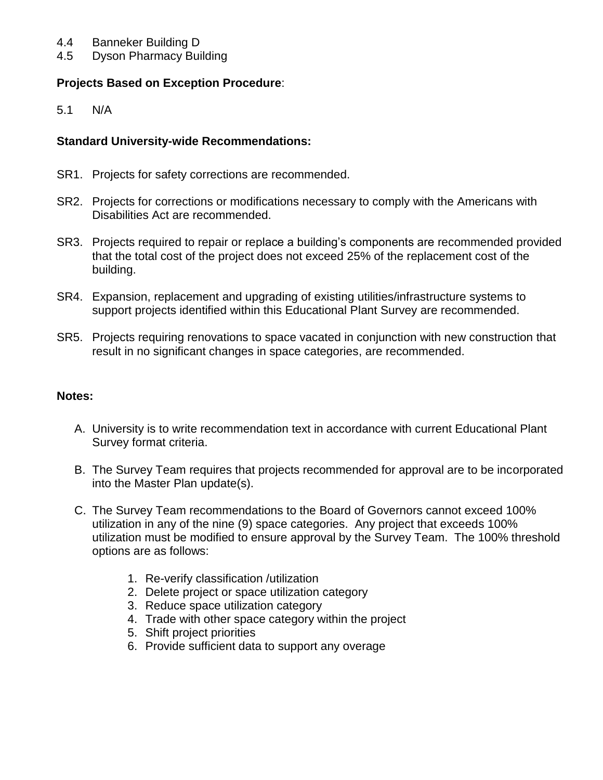- 4.4 Banneker Building D
- 4.5 Dyson Pharmacy Building

## **Projects Based on Exception Procedure**:

5.1 N/A

#### **Standard University-wide Recommendations:**

- SR1. Projects for safety corrections are recommended.
- SR2. Projects for corrections or modifications necessary to comply with the Americans with Disabilities Act are recommended.
- SR3. Projects required to repair or replace a building's components are recommended provided that the total cost of the project does not exceed 25% of the replacement cost of the building.
- SR4. Expansion, replacement and upgrading of existing utilities/infrastructure systems to support projects identified within this Educational Plant Survey are recommended.
- SR5. Projects requiring renovations to space vacated in conjunction with new construction that result in no significant changes in space categories, are recommended.

#### **Notes:**

- A. University is to write recommendation text in accordance with current Educational Plant Survey format criteria.
- B. The Survey Team requires that projects recommended for approval are to be incorporated into the Master Plan update(s).
- C. The Survey Team recommendations to the Board of Governors cannot exceed 100% utilization in any of the nine (9) space categories. Any project that exceeds 100% utilization must be modified to ensure approval by the Survey Team. The 100% threshold options are as follows:
	- 1. Re-verify classification /utilization
	- 2. Delete project or space utilization category
	- 3. Reduce space utilization category
	- 4. Trade with other space category within the project
	- 5. Shift project priorities
	- 6. Provide sufficient data to support any overage